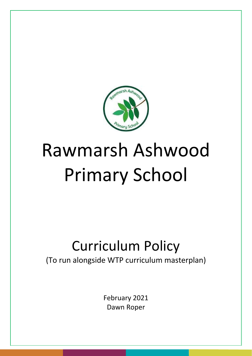

# Rawmarsh Ashwood Primary School

## Curriculum Policy

(To run alongside WTP curriculum masterplan)

February 2021 Dawn Roper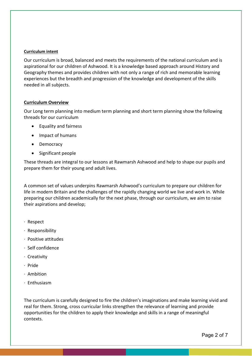#### **Curriculum intent**

Our curriculum is broad, balanced and meets the requirements of the national curriculum and is aspirational for our children of Ashwood. It is a knowledge based approach around History and Geography themes and provides children with not only a range of rich and memorable learning experiences but the breadth and progression of the knowledge and development of the skills needed in all subjects.

#### **Curriculum Overview**

Our Long term planning into medium term planning and short term planning show the following threads for our curriculum

- Equality and fairness
- Impact of humans
- Democracy
- Significant people

These threads are integral to our lessons at Rawmarsh Ashwood and help to shape our pupils and prepare them for their young and adult lives.

A common set of values underpins Rawmarsh Ashwood's curriculum to prepare our children for life in modern Britain and the challenges of the rapidly changing world we live and work in. While preparing our children academically for the next phase, through our curriculum, we aim to raise their aspirations and develop;

- · Respect
- · Responsibility
- · Positive attitudes
- · Self confidence
- · Creativity
- · Pride
- · Ambition
- · Enthusiasm

The curriculum is carefully designed to fire the children's imaginations and make learning vivid and real for them. Strong, cross curricular links strengthen the relevance of learning and provide opportunities for the children to apply their knowledge and skills in a range of meaningful contexts.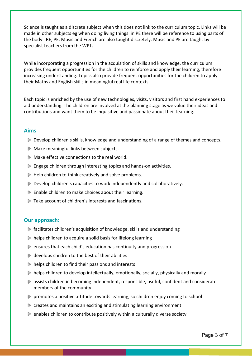Science is taught as a discrete subject when this does not link to the curriculum topic. Links will be made in other subjects eg when doing living things in PE there will be reference to using parts of the body. RE, PE, Music and French are also taught discretely. Music and PE are taught by specialist teachers from the WPT.

While incorporating a progression in the acquisition of skills and knowledge, the curriculum provides frequent opportunities for the children to reinforce and apply their learning, therefore increasing understanding. Topics also provide frequent opportunities for the children to apply their Maths and English skills in meaningful real life contexts.

Each topic is enriched by the use of new technologies, visits, visitors and first hand experiences to aid understanding. The children are involved at the planning stage as we value their ideas and contributions and want them to be inquisitive and passionate about their learning.

#### **Aims**

- Develop children's skills, knowledge and understanding of a range of themes and concepts.
- Make meaningful links between subjects.
- Make effective connections to the real world.
- **▶ Engage children through interesting topics and hands-on activities.**
- $\triangleright$  Help children to think creatively and solve problems.
- Develop children's capacities to work independently and collaboratively.
- **Enable children to make choices about their learning.**
- Take account of children's interests and fascinations.

#### **Our approach:**

- facilitates children's acquisition of knowledge, skills and understanding
- $\triangleright$  helps children to acquire a solid basis for lifelong learning
- ensures that each child's education has continuity and progression
- $\triangleright$  develops children to the best of their abilities
- $\triangleright$  helps children to find their passions and interests
- $\triangleright$  helps children to develop intellectually, emotionally, socially, physically and morally
- assists children in becoming independent, responsible, useful, confident and considerate members of the community
- promotes a positive attitude towards learning, so children enjoy coming to school
- **EX** creates and maintains an exciting and stimulating learning environment
- $\triangleright$  enables children to contribute positively within a culturally diverse society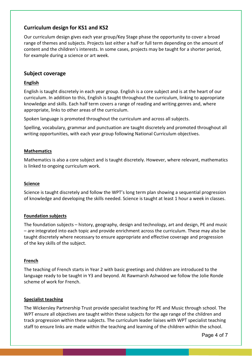### **Curriculum design for KS1 and KS2**

Our curriculum design gives each year group/Key Stage phase the opportunity to cover a broad range of themes and subjects. Projects last either a half or full term depending on the amount of content and the children's interests. In some cases, projects may be taught for a shorter period, for example during a science or art week.

#### **Subject coverage**

#### **English**

English is taught discretely in each year group. English is a core subject and is at the heart of our curriculum. In addition to this, English is taught throughout the curriculum, linking to appropriate knowledge and skills. Each half term covers a range of reading and writing genres and, where appropriate, links to other areas of the curriculum.

Spoken language is promoted throughout the curriculum and across all subjects.

Spelling, vocabulary, grammar and punctuation are taught discretely and promoted throughout all writing opportunities, with each year group following National Curriculum objectives.

#### **Mathematics**

Mathematics is also a core subject and is taught discretely. However, where relevant, mathematics is linked to ongoing curriculum work.

#### **Science**

Science is taught discretely and follow the WPT's long term plan showing a sequential progression of knowledge and developing the skills needed. Science is taught at least 1 hour a week in classes.

#### **Foundation subjects**

The foundation subjects – history, geography, design and technology, art and design, PE and music – are integrated into each topic and provide enrichment across the curriculum. These may also be taught discretely where necessary to ensure appropriate and effective coverage and progression of the key skills of the subject.

#### **French**

The teaching of French starts in Year 2 with basic greetings and children are introduced to the language ready to be taught in Y3 and beyond. At Rawmarsh Ashwood we follow the Jolie Ronde scheme of work for French.

#### **Specialist teaching**

The Wickersley Partnership Trust provide specialist teaching for PE and Music through school. The WPT ensure all objectives are taught within these subjects for the age range of the children and track progression within these subjects. The curriculum leader liaises with WPT specialist teaching staff to ensure links are made within the teaching and learning of the children within the school.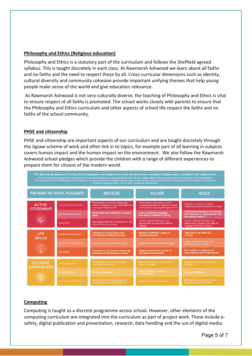#### **Philosophy and Ethics (Religious education)**

Philosophy and Ethics is a statutory part of the curriculum and follows the Sheffield agreed syllabus. This is taught discretely in each class. At Rawmarsh Ashwood we learn about all faiths and no faiths and the need to respect these by all. Cross-curricular dimensions such as identity, cultural diversity and community cohesion provide important unifying themes that help young people make sense of the world and give education relevance.

As Rawmarsh Ashwood is not very culturally diverse, the teaching of Philosophy and Ethics is vital to ensure respect of all faiths is promoted. The school works closely with parents to ensure that the Philosophy and Ethics curriculum and other aspects of school life respect the faiths and no faiths of the school community.

#### **PHSE and citizenship**

PHSE and citizenship are important aspects of our curriculum and are taught discretely through the Jigsaw scheme of work and often link in to topics, for example part of all learning in subjects covers human impact and the human impact on the environment. We also follow the Rawmarsh Ashwood school pledges which provide the children with a range of different experiences to prepare them for citizens of the modern world.



#### **Computing**

Computing is taught as a discrete programme across school. However, other elements of the computing curriculum are integrated into the curriculum as part of project work. These include esafety, digital publication and presentation, research, data handling and the use of digital media.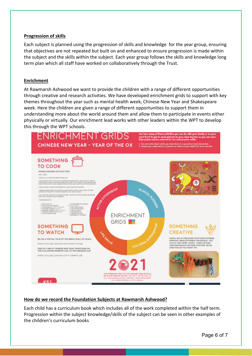#### **Progression of skills**

Each subject is planned using the progression of skills and knowledge for the year group, ensuring that objectives are not repeated but built on and enhanced to ensure progression is made within the subject and the skills within the subject. Each year group follows the skills and knowledge long term plan which all staff have worked on collaboratively through the Trust.

#### **Enrichment**

At Rawmarsh Ashwood we want to provide the children with a range of different opportunities through creative and research activities. We have developed enrichment grids to support with key themes throughout the year such as mental health week, Chinese New Year and Shakespeare week. Here the children are given a range of different opportunities to support them in understanding more about the world around them and allow them to participate in events either physically or virtually. Our enrichment lead works with other leaders within the WPT to develop this through the WPT schools.



#### **How do we record the Foundation Subjects at Rawmarsh Ashwood?**

Each child has a curriculum book which includes all of the work completed within the half term. Progression within the subject knowledge/skills of the subject can be seen in other examples of the children's curriculum books